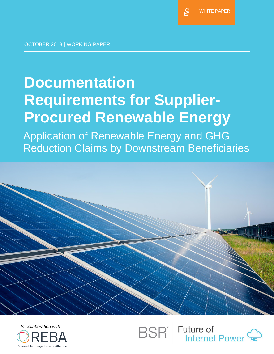ldi

OCTOBER 2018 | WORKING PAPER

# **Documentation Requirements for Supplier-Procured Renewable Energy**

Application of Renewable Energy and GHG Reduction Claims by Downstream Beneficiaries





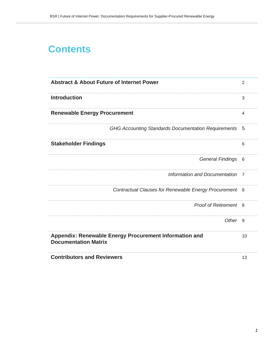## **Contents**

| <b>Abstract &amp; About Future of Internet Power</b> |                                                            | 2              |
|------------------------------------------------------|------------------------------------------------------------|----------------|
| <b>Introduction</b>                                  |                                                            | 3              |
| <b>Renewable Energy Procurement</b>                  |                                                            | 4              |
|                                                      | <b>GHG Accounting Standards Documentation Requirements</b> | 5              |
| <b>Stakeholder Findings</b>                          |                                                            | 6              |
|                                                      | <b>General Findings</b>                                    | 6              |
|                                                      | Information and Documentation                              | $\overline{7}$ |
|                                                      | Contractual Clauses for Renewable Energy Procurement       | - 8            |
|                                                      | <b>Proof of Retirement</b> 8                               |                |
|                                                      | Other <sub>9</sub>                                         |                |
| <b>Documentation Matrix</b>                          | Appendix: Renewable Energy Procurement Information and     | 10             |
| <b>Contributors and Reviewers</b>                    |                                                            | 13             |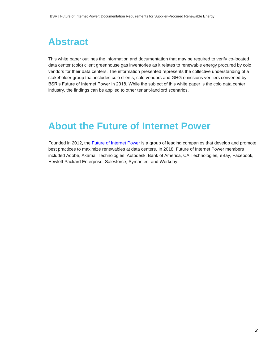## **Abstract**

This white paper outlines the information and documentation that may be required to verify co-located data center (colo) client greenhouse gas inventories as it relates to renewable energy procured by colo vendors for their data centers. The information presented represents the collective understanding of a stakeholder group that includes colo clients, colo vendors and GHG emissions verifiers convened by BSR's Future of Internet Power in 2018. While the subject of this white paper is the colo data center industry, the findings can be applied to other tenant-landlord scenarios.

## **About the Future of Internet Power**

Founded in 2012, the [Future of Internet Power](https://www.bsr.org/en/collaboration/groups/future-of-internet-power) is a group of leading companies that develop and promote best practices to maximize renewables at data centers. In 2018, Future of Internet Power members included Adobe, Akamai Technologies, Autodesk, Bank of America, CA Technologies, eBay, Facebook, Hewlett Packard Enterprise, Salesforce, Symantec, and Workday.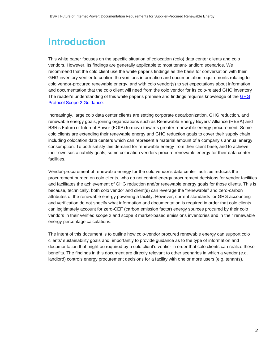## **Introduction**

This white paper focuses on the specific situation of colocation (colo) data center clients and colo vendors. However, its findings are generally applicable to most tenant-landlord scenarios. We recommend that the colo client use the white paper's findings as the basis for conversation with their GHG inventory verifier to confirm the verifier's information and documentation requirements relating to colo vendor-procured renewable energy, and with colo vendor(s) to set expectations about information and documentation that the colo client will need from the colo vendor for its colo-related GHG inventory The reader's understanding of this white paper's premise and findings requires knowledge of the [GHG](https://ghgprotocol.org/scope_2_guidance)  [Protocol Scope 2 Guidance.](https://ghgprotocol.org/scope_2_guidance)

Increasingly, large colo data center clients are setting corporate decarbonization, GHG reduction, and renewable energy goals, joining organizations such as Renewable Energy Buyers' Alliance (REBA) and BSR's Future of Internet Power (FOIP) to move towards greater renewable energy procurement. Some colo clients are extending their renewable energy and GHG reduction goals to cover their supply chain, including colocation data centers which can represent a material amount of a company's annual energy consumption. To both satisfy this demand for renewable energy from their client base, and to achieve their own sustainability goals, some colocation vendors procure renewable energy for their data center facilities.

Vendor-procurement of renewable energy for the colo vendor's data center facilities reduces the procurement burden on colo clients, who do not control energy procurement decisions for vendor facilities and facilitates the achievement of GHG reduction and/or renewable energy goals for those clients. This is because, technically, both colo vendor and client(s) can leverage the "renewable" and zero-carbon attributes of the renewable energy powering a facility. However, current standards for GHG accounting and verification do not specify what information and documentation is required in order that colo clients can legitimately account for zero-CEF (carbon emission factor) energy sources procured by their colo vendors in their verified scope 2 and scope 3 market-based emissions inventories and in their renewable energy percentage calculations.

The intent of this document is to outline how colo-vendor procured renewable energy can support colo clients' sustainability goals and, importantly to provide guidance as to the type of information and documentation that might be required by a colo client's verifier in order that colo clients can realize these benefits. The findings in this document are directly relevant to other scenarios in which a vendor (e.g. landlord) controls energy procurement decisions for a facility with one or more users (e.g. tenants).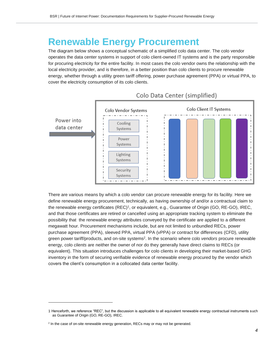## **Renewable Energy Procurement**

The diagram below shows a conceptual schematic of a simplified colo data center. The colo vendor operates the data center systems in support of colo client-owned IT systems and is the party responsible for procuring electricity for the entire facility. In most cases the colo vendor owns the relationship with the local electricity provider, and is therefore, in a better position than colo clients to procure renewable energy, whether through a utility green tariff offering, power purchase agreement (PPA) or virtual PPA, to cover the electricity consumption of its colo clients.



### Colo Data Center (simplified)

There are various means by which a colo vendor can procure renewable energy for its facility. Here we define renewable energy procurement, technically, as having ownership of and/or a contractual claim to the renewable energy certificates (REC)<sup>1</sup>, or equivalent, e.g., Guarantee of Origin (GO, RE-GO), IREC, and that those certificates are retired or cancelled using an appropriate tracking system to eliminate the possibility that the renewable energy attributes conveyed by the certificate are applied to a different megawatt hour. Procurement mechanisms include, but are not limited to unbundled RECs, power purchase agreement (PPA), sleeved PPA, virtual PPA (vPPA) or contract for differences (CFD), utility green power tariff/products, and on-site systems<sup>2</sup> . In the scenario where colo *vendors* procure renewable energy, colo *clients* are neither the owner of nor do they generally have direct claims to RECs (or equivalent). This situation introduces challenges for colo clients in developing their market-based GHG inventory in the form of securing verifiable evidence of renewable energy procured by the vendor which covers the client's consumption in a collocated data center facility.

<sup>1</sup> Henceforth, we reference "REC", but the discussion is applicable to all equivalent renewable energy contractual instruments such as Guarantee of Origin (GO, RE-GO), IREC.

<sup>&</sup>lt;sup>2</sup> In the case of on-site renewable energy generation, RECs may or may not be generated.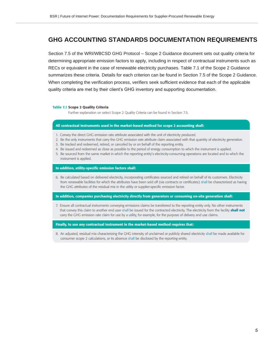### **GHG ACCOUNTING STANDARDS DOCUMENTATION REQUIREMENTS**

Section 7.5 of the WRI/WBCSD GHG Protocol – Scope 2 Guidance document sets out quality criteria for determining appropriate emission factors to apply, including in respect of contractual instruments such as RECs or equivalent in the case of renewable electricity purchases. Table 7.1 of the Scope 2 Guidance summarizes these criteria. Details for each criterion can be found in Section 7.5 of the Scope 2 Guidance. When completing the verification process, verifiers seek sufficient evidence that each of the applicable quality criteria are met by their client's GHG inventory and supporting documentation.

#### **Table 7.1 Scope 2 Quality Criteria**

Further explanation on select Scope 2 Quality Criteria can be found in Section 7.5.

#### All contractual instruments used in the market-based method for scope 2 accounting shall:

- 1. Convey the direct GHG emission rate attribute associated with the unit of electricity produced.
- 2. Be the only instruments that carry the GHG emission rate attribute claim associated with that quantity of electricity generation.
- 3. Be tracked and redeemed, retired, or canceled by or on behalf of the reporting entity.
- 4. Be issued and redeemed as close as possible to the period of energy consumption to which the instrument is applied.
- 5. Be sourced from the same market in which the reporting entity's electricity-consuming operations are located and to which the instrument is applied.

#### In addition, utility-specific emission factors shall:

6. Be calculated based on delivered electricity, incorporating certificates sourced and retired on behalf of its customers. Electricity from renewable facilities for which the attributes have been sold off (via contracts or certificates) shall be characterized as having the GHG attributes of the residual mix in the utility or supplier-specific emission factor.

#### In addition, companies purchasing electricity directly from generators or consuming on-site generation shall:

7. Ensure all contractual instruments conveying emissions claims be transferred to the reporting entity only. No other instruments that convey this claim to another end user shall be issued for the contracted electricity. The electricity from the facility **shall not** carry the GHG emission rate claim for use by a utility, for example, for the purpose of delivery and use claims.

#### Finally, to use any contractual instrument in the market-based method requires that:

8. An adjusted, residual mix characterizing the GHG intensity of unclaimed or publicly shared electricity shall be made available for consumer scope 2 calculations, or its absence shall be disclosed by the reporting entity.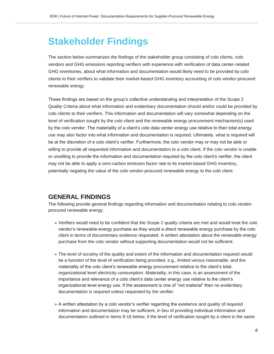## **Stakeholder Findings**

The section below summarizes the findings of the stakeholder group consisting of colo clients, colo vendors and GHG emissions reporting verifiers with experience with verification of data center-related GHG inventories, about what information and documentation would likely need to be provided by colo clients to their verifiers to validate their market-based GHG inventory accounting of colo vendor-procured renewable energy.

These findings are based on the group's collective understanding and interpretation of the Scope 2 Quality Criteria about what information and evidentiary documentation should and/or could be provided by colo clients to their verifiers. This information and documentation will vary somewhat depending on the level of verification sought by the colo client and the renewable energy procurement mechanism(s) used by the colo vendor. The materiality of a client's colo data center energy use relative to their total energy use may also factor into what information and documentation is required. Ultimately, what is required will be at the discretion of a colo client's verifier. Furthermore, the colo vendor may or may not be able or willing to provide all requested information and documentation to a colo client. If the colo vendor is unable or unwilling to provide the information and documentation required by the colo client's verifier, the client may not be able to apply a zero-carbon emission factor rate to its market-based GHG inventory, potentially negating the value of the colo vendor-procured renewable energy to the colo client.

### **GENERAL FINDINGS**

The following provide general findings regarding information and documentation relating to colo vendorprocured renewable energy.

- » Verifiers would need to be confident that the Scope 2 quality criteria are met and would treat the colo vendor's renewable energy purchase as they would a direct renewable energy purchase by the colo client in terms of documentary evidence requested. A written attestation about the renewable energy purchase from the colo vendor without supporting documentation would not be sufficient.
- » The level of scrutiny of the quality and extent of the information and documentation required would be a function of the level of verification being provided, e.g., limited versus reasonable, and the materiality of the colo client's renewable energy procurement relative to the client's total, organizational level electricity consumption. Materiality, in this case, is an assessment of the importance and relevance of a colo client's data center energy use relative to the client's organizational level energy use. If the assessment is one of "not material" then no evidentiary documentation is required unless requested by the verifier.
- » A written attestation by a colo vendor's verifier regarding the existence and quality of required information and documentation may be sufficient, in lieu of providing individual information and documentation outlined in items 9-16 below, if the level of verification sought by a client is the same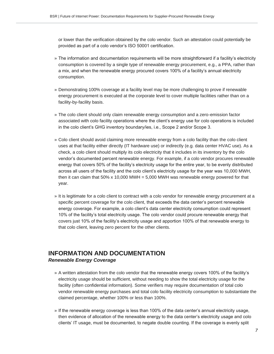or lower than the verification obtained by the colo vendor. Such an attestation could potentially be provided as part of a colo vendor's ISO 50001 certification.

- » The information and documentation requirements will be more straightforward if a facility's electricity consumption is covered by a single type of renewable energy procurement, e.g., a PPA, rather than a mix, and when the renewable energy procured covers 100% of a facility's annual electricity consumption.
- » Demonstrating 100% coverage at a facility level may be more challenging to prove if renewable energy procurement is executed at the corporate level to cover multiple facilities rather than on a facility-by-facility basis.
- » The colo client should only claim renewable energy consumption and a zero-emission factor associated with colo facility operations where the client's energy use for colo operations is included in the colo client's GHG inventory boundary/ies, i.e., Scope 2 and/or Scope 3.
- » Colo client should avoid claiming more renewable energy from a colo facility than the colo client uses at that facility either directly (IT hardware use) or indirectly (e.g. data center HVAC use). As a check, a colo client should multiply its colo electricity that it includes in its inventory by the colo vendor's documented percent renewable energy. For example, if a colo vendor procures renewable energy that covers 50% of the facility's electricity usage for the entire year, to be evenly distributed across all users of the facility and the colo client's electricity usage for the year was 10,000 MWH, then it can claim that  $50\% \times 10,000$  MWH =  $5,000$  MWH was renewable energy powered for that year.
- » It is legitimate for a colo client to contract with a colo vendor for renewable energy procurement at a specific percent coverage for the colo client, that exceeds the data center's percent renewable energy coverage. For example, a colo client's data center electricity consumption could represent 10% of the facility's total electricity usage. The colo vendor could procure renewable energy that covers just 10% of the facility's electricity usage and apportion 100% of that renewable energy to that colo client, leaving zero percent for the other clients.

### **INFORMATION AND DOCUMENTATION** *Renewable Energy Coverage*

- » A written attestation from the colo vendor that the renewable energy covers 100% of the facility's electricity usage should be sufficient, without needing to show the total electricity usage for the facility (often confidential information). Some verifiers may require documentation of total colo vendor renewable energy purchases and total colo facility electricity consumption to substantiate the claimed percentage, whether 100% or less than 100%.
- » If the renewable energy coverage is less than 100% of the data center's annual electricity usage, then evidence of allocation of the renewable energy to the data center's electricity usage and colo clients' IT usage, must be documented, to negate double counting. If the coverage is evenly split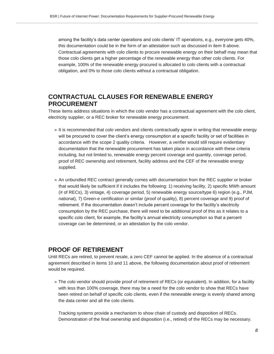among the facility's data center operations and colo clients' IT operations, e.g., everyone gets 40%, this documentation could be in the form of an attestation such as discussed in item 8 above. Contractual agreements with colo clients to procure renewable energy on their behalf may mean that those colo clients get a higher percentage of the renewable energy than other colo clients. For example, 100% of the renewable energy procured is allocated to colo clients with a contractual obligation, and 0% to those colo clients without a contractual obligation.

### **CONTRACTUAL CLAUSES FOR RENEWABLE ENERGY PROCUREMENT**

These items address situations in which the colo vendor has a contractual agreement with the colo client, electricity supplier, or a REC broker for renewable energy procurement.

- » It is recommended that colo vendors and clients contractually agree in writing that renewable energy will be procured to cover the client's energy consumption at a specific facility or set of facilities in accordance with the scope 2 quality criteria. However, a verifier would still require evidentiary documentation that the renewable procurement has taken place in accordance with these criteria including, but not limited to, renewable energy percent coverage and quantity, coverage period, proof of REC ownership and retirement, facility address and the CEF of the renewable energy supplied.
- » An unbundled REC contract generally comes with documentation from the REC supplier or broker that would likely be sufficient if it includes the following: 1) receiving facility, 2) specific MWh amount (# of RECs), 3) vintage, 4) coverage period, 5) renewable energy source/type 6) region (e.g., PJM, national), 7) Green-e certification or similar (proof of quality), 8) percent coverage and 9) proof of retirement. If the documentation doesn't include percent coverage for the facility's electricity consumption by the REC purchase, there will need to be additional proof of this as it relates to a specific colo client, for example, the facility's annual electricity consumption so that a percent coverage can be determined, or an attestation by the colo vendor.

### **PROOF OF RETIREMENT**

Until RECs are retired, to prevent resale, a zero CEF cannot be applied. In the absence of a contractual agreement described in items 10 and 11 above, the following documentation about proof of retirement would be required.

» The colo vendor should provide proof of retirement of RECs (or equivalent). In addition, for a facility with less than 100% coverage, there may be a need for the colo vendor to show that RECs have been retired on behalf of specific colo clients, even if the renewable energy is evenly shared among the data center and all the colo clients.

Tracking systems provide a mechanism to show chain of custody and disposition of RECs. Demonstration of the final ownership and disposition (i.e., retired) of the RECs may be necessary.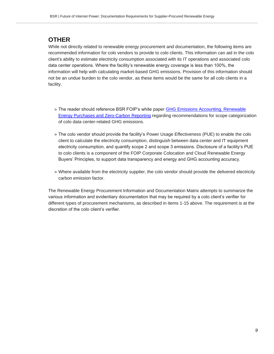### **OTHER**

While not directly related to renewable energy procurement and documentation, the following items are recommended information for colo vendors to provide to colo clients. This information can aid in the colo client's ability to estimate electricity consumption associated with its IT operations and associated colo data center operations. Where the facility's renewable energy coverage is less than 100%, the information will help with calculating market-based GHG emissions. Provision of this information should not be an undue burden to the colo vendor, as these items would be the same for all colo clients in a facility.

- » The reader should reference BSR FOIP's white paper [GHG Emissions Accounting, Renewable](https://www.bsr.org/reports/BSR_Future_of_Internet_Power_GHG_Emissions_Report.pdf)  [Energy Purchases and Zero-Carbon Reporting](https://www.bsr.org/reports/BSR_Future_of_Internet_Power_GHG_Emissions_Report.pdf) regarding recommendations for scope categorization of colo data center-related GHG emissions.
- » The colo vendor should provide the facility's Power Usage Effectiveness (PUE) to enable the colo client to calculate the electricity consumption, distinguish between data center and IT equipment electricity consumption, and quantify scope 2 and scope 3 emissions. Disclosure of a facility's PUE to colo clients is a component of the FOIP Corporate Colocation and Cloud Renewable Energy Buyers' Principles, to support data transparency and energy and GHG accounting accuracy.
- » Where available from the electricity supplier, the colo vendor should provide the delivered electricity carbon emission factor.

The Renewable Energy Procurement Information and Documentation Matrix attempts to summarize the various information and evidentiary documentation that may be required by a colo client's verifier for different types of procurement mechanisms, as described in items 1-15 above. The requirement is at the discretion of the colo client's verifier.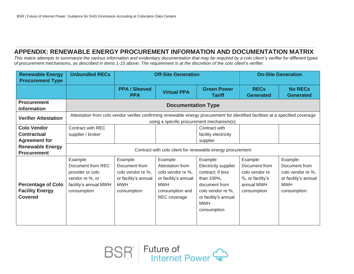### **APPENDIX: RENEWABLE ENERGY PROCUREMENT INFORMATION AND DOCUMENTATION MATRIX**

*This matrix attempts to summarize the various information and evidentiary documentation that may be required by a colo client's verifier for different types of procurement mechanisms, as described in items 1-15 above. The requirement is at the discretion of the colo client's verifier.*

| <b>Unbundled RECs</b>                                                                                                                                                         | <b>Off-Site Generation</b>                                                                                   |                                                                                                     | <b>On-Site Generation</b>                                                                                                  |                                                                                                                                                                |                                                                                              |
|-------------------------------------------------------------------------------------------------------------------------------------------------------------------------------|--------------------------------------------------------------------------------------------------------------|-----------------------------------------------------------------------------------------------------|----------------------------------------------------------------------------------------------------------------------------|----------------------------------------------------------------------------------------------------------------------------------------------------------------|----------------------------------------------------------------------------------------------|
|                                                                                                                                                                               | <b>PPA / Sleeved</b><br><b>PPA</b>                                                                           | <b>Virtual PPA</b>                                                                                  | <b>Green Power</b><br><b>Tariff</b>                                                                                        | <b>RECs</b><br><b>Generated</b>                                                                                                                                | <b>No RECs</b><br><b>Generated</b>                                                           |
| <b>Documentation Type</b>                                                                                                                                                     |                                                                                                              |                                                                                                     |                                                                                                                            |                                                                                                                                                                |                                                                                              |
| Attestation from colo vendor verifier confirming renewable energy procurement for identified facilities at a specified coverage<br>using a specific procurement mechanism(s). |                                                                                                              |                                                                                                     |                                                                                                                            |                                                                                                                                                                |                                                                                              |
| Contract with REC                                                                                                                                                             |                                                                                                              |                                                                                                     | Contract with                                                                                                              |                                                                                                                                                                |                                                                                              |
| supplier / broker                                                                                                                                                             |                                                                                                              |                                                                                                     | facility electricity                                                                                                       |                                                                                                                                                                |                                                                                              |
|                                                                                                                                                                               |                                                                                                              |                                                                                                     | supplier                                                                                                                   |                                                                                                                                                                |                                                                                              |
| Contract with colo client for renewable energy procurement                                                                                                                    |                                                                                                              |                                                                                                     |                                                                                                                            |                                                                                                                                                                |                                                                                              |
|                                                                                                                                                                               |                                                                                                              |                                                                                                     |                                                                                                                            |                                                                                                                                                                |                                                                                              |
|                                                                                                                                                                               |                                                                                                              |                                                                                                     |                                                                                                                            |                                                                                                                                                                | Example:<br>Document from                                                                    |
|                                                                                                                                                                               |                                                                                                              |                                                                                                     |                                                                                                                            |                                                                                                                                                                |                                                                                              |
|                                                                                                                                                                               |                                                                                                              |                                                                                                     |                                                                                                                            |                                                                                                                                                                | colo vendor re %,                                                                            |
|                                                                                                                                                                               |                                                                                                              |                                                                                                     |                                                                                                                            |                                                                                                                                                                | or facility's annual                                                                         |
|                                                                                                                                                                               |                                                                                                              |                                                                                                     |                                                                                                                            |                                                                                                                                                                | <b>MWH</b>                                                                                   |
|                                                                                                                                                                               |                                                                                                              |                                                                                                     |                                                                                                                            |                                                                                                                                                                | consumption                                                                                  |
|                                                                                                                                                                               |                                                                                                              |                                                                                                     |                                                                                                                            |                                                                                                                                                                |                                                                                              |
|                                                                                                                                                                               |                                                                                                              |                                                                                                     |                                                                                                                            |                                                                                                                                                                |                                                                                              |
|                                                                                                                                                                               |                                                                                                              |                                                                                                     |                                                                                                                            |                                                                                                                                                                |                                                                                              |
|                                                                                                                                                                               |                                                                                                              |                                                                                                     |                                                                                                                            |                                                                                                                                                                |                                                                                              |
|                                                                                                                                                                               | Example:<br>Document from REC<br>provider or colo<br>vendor re %, or<br>facility's annual MWH<br>consumption | Example:<br>Document from<br>colo vendor re %,<br>or facility's annual<br><b>MWH</b><br>consumption | Example:<br>Attestation from<br>colo vendor re %,<br>or facility's annual<br><b>MWH</b><br>consumption and<br>REC coverage | Example:<br>Electricity supplier<br>contract; if less<br>than 100%,<br>document from<br>colo vendor re %,<br>or facility's annual<br><b>MWH</b><br>consumption | Example:<br>Document from<br>colo vendor re<br>%, or facility's<br>annual MWH<br>consumption |

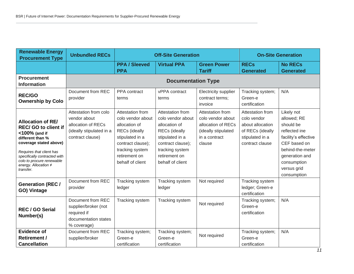| <b>Renewable Energy</b><br><b>Procurement Type</b>                                                                                                                                                                                                   | <b>Unbundled RECs</b>                                                                                       | <b>Off-Site Generation</b>                                                                                                                                                     |                                                                                                                                                                                | <b>On-Site Generation</b>                                                                                     |                                                                                                               |                                                                                                                                                                                    |
|------------------------------------------------------------------------------------------------------------------------------------------------------------------------------------------------------------------------------------------------------|-------------------------------------------------------------------------------------------------------------|--------------------------------------------------------------------------------------------------------------------------------------------------------------------------------|--------------------------------------------------------------------------------------------------------------------------------------------------------------------------------|---------------------------------------------------------------------------------------------------------------|---------------------------------------------------------------------------------------------------------------|------------------------------------------------------------------------------------------------------------------------------------------------------------------------------------|
|                                                                                                                                                                                                                                                      |                                                                                                             | <b>PPA / Sleeved</b><br><b>PPA</b>                                                                                                                                             | <b>Virtual PPA</b>                                                                                                                                                             | <b>Green Power</b><br><b>Tariff</b>                                                                           | <b>RECs</b><br><b>Generated</b>                                                                               | <b>No RECs</b><br><b>Generated</b>                                                                                                                                                 |
| <b>Procurement</b><br><b>Information</b>                                                                                                                                                                                                             | <b>Documentation Type</b>                                                                                   |                                                                                                                                                                                |                                                                                                                                                                                |                                                                                                               |                                                                                                               |                                                                                                                                                                                    |
| <b>REC/GO</b><br><b>Ownership by Colo</b>                                                                                                                                                                                                            | Document from REC<br>provider                                                                               | PPA contract<br>terms                                                                                                                                                          | vPPA contract<br>terms                                                                                                                                                         | Electricity supplier<br>contract terms;<br>invoice                                                            | Tracking system;<br>Green-e<br>certification                                                                  | N/A                                                                                                                                                                                |
| <b>Allocation of RE/</b><br><b>REC/ GO to client if</b><br><100% (and if<br>different than %<br>coverage stated above)<br>Requires that client has<br>specifically contracted with<br>colo to procure renewable<br>energy. Allocation ≠<br>transfer. | Attestation from colo<br>vendor about<br>allocation of RECs<br>(ideally stipulated in a<br>contract clause) | Attestation from<br>colo vendor about<br>allocation of<br><b>RECs</b> (ideally<br>stipulated in a<br>contract clause);<br>tracking system<br>retirement on<br>behalf of client | Attestation from<br>colo vendor about<br>allocation of<br><b>RECs</b> (ideally<br>stipulated in a<br>contract clause);<br>tracking system<br>retirement on<br>behalf of client | Attestation from<br>colo vendor about<br>allocation of RECs<br>(ideally stipulated<br>in a contract<br>clause | Attestation from<br>colo vendor<br>about allocation<br>of RECs (ideally<br>stipulated in a<br>contract clause | Likely not<br>allowed; RE<br>should be<br>reflected ine<br>facility's effective<br>CEF based on<br>behind-the-meter<br>generation and<br>consumption<br>versus grid<br>consumption |
| <b>Generation (REC/</b><br>GO) Vintage                                                                                                                                                                                                               | Document from REC<br>provider                                                                               | Tracking system<br>ledger                                                                                                                                                      | Tracking system<br>ledger                                                                                                                                                      | Not required                                                                                                  | Tracking system<br>ledger; Green-e<br>certification                                                           |                                                                                                                                                                                    |
| <b>REC/GO Serial</b><br>Number(s)                                                                                                                                                                                                                    | Document from REC<br>supplier/broker (not<br>required if<br>documentation states<br>% coverage)             | Tracking system                                                                                                                                                                | Tracking system                                                                                                                                                                | Not required                                                                                                  | Tracking system;<br>Green-e<br>certification                                                                  | N/A                                                                                                                                                                                |
| <b>Evidence of</b><br><b>Retirement /</b><br><b>Cancellation</b>                                                                                                                                                                                     | Document from REC<br>supplier/broker                                                                        | Tracking system;<br>Green-e<br>certification                                                                                                                                   | Tracking system;<br>Green-e<br>certification                                                                                                                                   | Not required                                                                                                  | Tracking system;<br>Green-e<br>certification                                                                  | N/A                                                                                                                                                                                |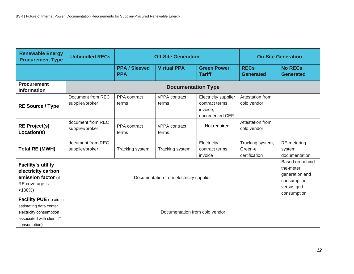| <b>Renewable Energy</b><br><b>Procurement Type</b>                                                                        | <b>Unbundled RECs</b>                   | <b>Off-Site Generation</b>         |                        | <b>On-Site Generation</b>                                             |                                                                                              |                                               |
|---------------------------------------------------------------------------------------------------------------------------|-----------------------------------------|------------------------------------|------------------------|-----------------------------------------------------------------------|----------------------------------------------------------------------------------------------|-----------------------------------------------|
|                                                                                                                           |                                         | <b>PPA / Sleeved</b><br><b>PPA</b> | <b>Virtual PPA</b>     | <b>Green Power</b><br><b>Tariff</b>                                   | <b>RECs</b><br><b>Generated</b>                                                              | <b>No RECs</b><br><b>Generated</b>            |
| <b>Procurement</b><br><b>Information</b>                                                                                  | <b>Documentation Type</b>               |                                    |                        |                                                                       |                                                                                              |                                               |
| <b>RE Source / Type</b>                                                                                                   | Document from REC<br>supplier/broker    | PPA contract<br>terms              | vPPA contract<br>terms | Electricity supplier<br>contract terms;<br>invoice;<br>documented CEF | Attestation from<br>colo vendor                                                              |                                               |
| <b>RE Project(s)</b><br>Location(s)                                                                                       | document from REC<br>supplier/broker    | PPA contract<br>terms              | vPPA contract<br>terms | Not required                                                          | Attestation from<br>colo vendor                                                              |                                               |
| <b>Total RE (MWH)</b>                                                                                                     | document from REC<br>supplier/broker    | Tracking system                    | Tracking system        | Electricity<br>contract terms;<br>invoice                             | Tracking system;<br>Green-e<br>certification                                                 | <b>RE</b> metering<br>system<br>documentation |
| <b>Facility's utility</b><br>electricity carbon<br>emission factor (if<br>RE coverage is<br>$< 100\%)$                    | Documentation from electricity supplier |                                    |                        |                                                                       | Based on behind-<br>the-meter<br>generation and<br>consumption<br>versus grid<br>consumption |                                               |
| Facility PUE (to aid in<br>estimating data center<br>electricity consumption<br>associated with client IT<br>consumption) | Documentation from colo vendor          |                                    |                        |                                                                       |                                                                                              |                                               |